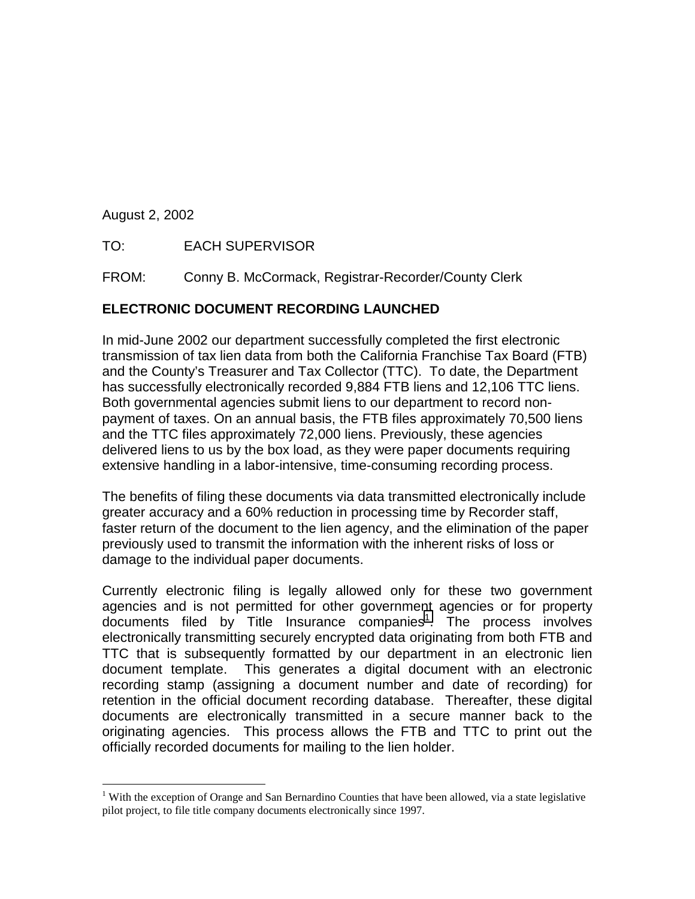August 2, 2002

 $\overline{a}$ 

TO: EACH SUPERVISOR

FROM: Conny B. McCormack, Registrar-Recorder/County Clerk

## **ELECTRONIC DOCUMENT RECORDING LAUNCHED**

In mid-June 2002 our department successfully completed the first electronic transmission of tax lien data from both the California Franchise Tax Board (FTB) and the County's Treasurer and Tax Collector (TTC). To date, the Department has successfully electronically recorded 9,884 FTB liens and 12,106 TTC liens. Both governmental agencies submit liens to our department to record nonpayment of taxes. On an annual basis, the FTB files approximately 70,500 liens and the TTC files approximately 72,000 liens. Previously, these agencies delivered liens to us by the box load, as they were paper documents requiring extensive handling in a labor-intensive, time-consuming recording process.

The benefits of filing these documents via data transmitted electronically include greater accuracy and a 60% reduction in processing time by Recorder staff, faster return of the document to the lien agency, and the elimination of the paper previously used to transmit the information with the inherent risks of loss or damage to the individual paper documents.

Currently electronic filing is legally allowed only for these two government agencies and is not permitted for other government agencies or for property documents filed by Title Insurance companies<sup>1</sup>. The process involves electronically transmitting securely encrypted data originating from both FTB and TTC that is subsequently formatted by our department in an electronic lien document template. This generates a digital document with an electronic recording stamp (assigning a document number and date of recording) for retention in the official document recording database. Thereafter, these digital documents are electronically transmitted in a secure manner back to the originating agencies. This process allows the FTB and TTC to print out the officially recorded documents for mailing to the lien holder.

<sup>&</sup>lt;sup>1</sup> With the exception of Orange and San Bernardino Counties that have been allowed, via a state legislative pilot project, to file title company documents electronically since 1997.